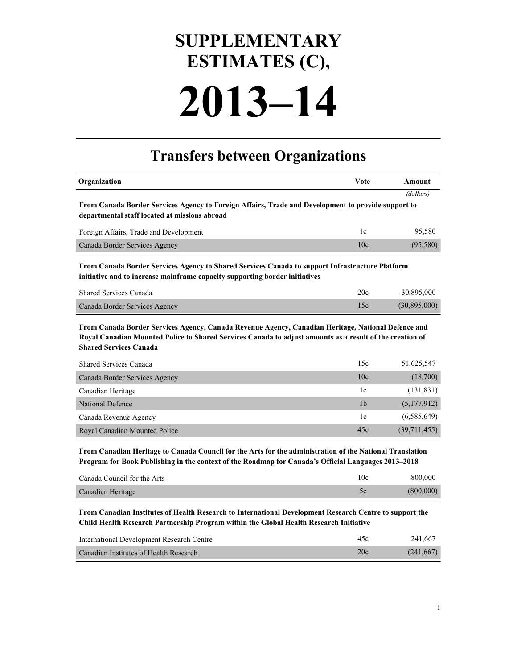## **2013–14 SUPPLEMENTARY ESTIMATES (C),**

## **Transfers between Organizations**

| Organization                                                                                                                                                                                                                                    | <b>V</b> ote    | <b>Amount</b> |  |
|-------------------------------------------------------------------------------------------------------------------------------------------------------------------------------------------------------------------------------------------------|-----------------|---------------|--|
|                                                                                                                                                                                                                                                 |                 | (dollars)     |  |
| From Canada Border Services Agency to Foreign Affairs, Trade and Development to provide support to                                                                                                                                              |                 |               |  |
| departmental staff located at missions abroad                                                                                                                                                                                                   |                 |               |  |
| Foreign Affairs, Trade and Development                                                                                                                                                                                                          | 1c              | 95,580        |  |
| Canada Border Services Agency                                                                                                                                                                                                                   | 10c             | (95, 580)     |  |
| From Canada Border Services Agency to Shared Services Canada to support Infrastructure Platform<br>initiative and to increase mainframe capacity supporting border initiatives                                                                  |                 |               |  |
| Shared Services Canada                                                                                                                                                                                                                          | 20c             | 30,895,000    |  |
| Canada Border Services Agency                                                                                                                                                                                                                   | 15c             | (30,895,000)  |  |
| From Canada Border Services Agency, Canada Revenue Agency, Canadian Heritage, National Defence and<br>Royal Canadian Mounted Police to Shared Services Canada to adjust amounts as a result of the creation of<br><b>Shared Services Canada</b> |                 |               |  |
| Shared Services Canada                                                                                                                                                                                                                          | 15c             | 51,625,547    |  |
| Canada Border Services Agency                                                                                                                                                                                                                   | 10 <sub>c</sub> | (18,700)      |  |
| Canadian Heritage                                                                                                                                                                                                                               | 1c              | (131, 831)    |  |
| <b>National Defence</b>                                                                                                                                                                                                                         | 1 <sub>b</sub>  | (5,177,912)   |  |
| Canada Revenue Agency                                                                                                                                                                                                                           | 1c              | (6,585,649)   |  |
| Royal Canadian Mounted Police                                                                                                                                                                                                                   | 45c             | (39,711,455)  |  |

**From Canadian Heritage to Canada Council for the Arts for the administration of the National Translation Program for Book Publishing in the context of the Roadmap for Canada's Official Languages 2013–2018**

| Canada Council for the Arts | 10c | 800,000   |
|-----------------------------|-----|-----------|
| Canadian Heritage           |     | (800,000) |

**From Canadian Institutes of Health Research to International Development Research Centre to support the Child Health Research Partnership Program within the Global Health Research Initiative**

| International Development Research Centre | 45c | 241.667   |
|-------------------------------------------|-----|-----------|
| Canadian Institutes of Health Research    | 20c | (241,667) |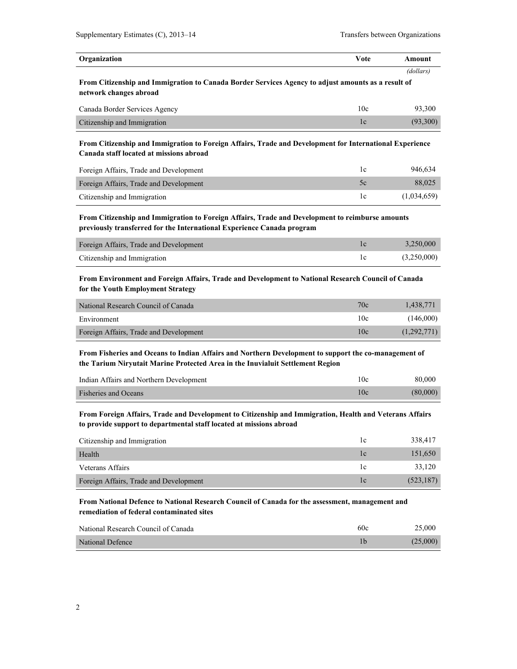| Organization                                                                                                                 | Vote | Amount    |
|------------------------------------------------------------------------------------------------------------------------------|------|-----------|
|                                                                                                                              |      | (dollars) |
| From Citizenship and Immigration to Canada Border Services Agency to adjust amounts as a result of<br>network changes abroad |      |           |
|                                                                                                                              |      |           |

| Canada Border Services Agency | l ()c | 93.300   |
|-------------------------------|-------|----------|
| Citizenship and Immigration   |       | (93.300) |

**From Citizenship and Immigration to Foreign Affairs, Trade and Development for International Experience Canada staff located at missions abroad**

| Foreign Affairs, Trade and Development |               | 946.634     |
|----------------------------------------|---------------|-------------|
| Foreign Affairs, Trade and Development | $\mathcal{L}$ | 88,025      |
| Citizenship and Immigration            |               | (1,034,659) |

**From Citizenship and Immigration to Foreign Affairs, Trade and Development to reimburse amounts previously transferred for the International Experience Canada program**

| Foreign Affairs, Trade and Development | 3.250.000   |
|----------------------------------------|-------------|
| Citizenship and Immigration            | (3,250,000) |

**From Environment and Foreign Affairs, Trade and Development to National Research Council of Canada for the Youth Employment Strategy**

| National Research Council of Canada    | 70c | 1.438.771   |
|----------------------------------------|-----|-------------|
| Environment                            | 10c | (146.000)   |
| Foreign Affairs, Trade and Development | 10c | (1,292,771) |

**From Fisheries and Oceans to Indian Affairs and Northern Development to support the co-management of the Tarium Niryutait Marine Protected Area in the Inuvialuit Settlement Region**

| Indian Affairs and Northern Development | 10c | 80,000   |
|-----------------------------------------|-----|----------|
| <b>Fisheries and Oceans</b>             | 10c | (80,000) |

**From Foreign Affairs, Trade and Development to Citizenship and Immigration, Health and Veterans Affairs to provide support to departmental staff located at missions abroad**

| Citizenship and Immigration            | 1 C            | 338,417    |
|----------------------------------------|----------------|------------|
| Health                                 | <sub>1</sub> c | 151,650    |
| Veterans Affairs                       | TC.            | 33.120     |
| Foreign Affairs, Trade and Development | c              | (523, 187) |

**From National Defence to National Research Council of Canada for the assessment, management and remediation of federal contaminated sites**

| National Research Council of Canada | 60c | 25.000   |
|-------------------------------------|-----|----------|
| National Defence                    |     | (25.000) |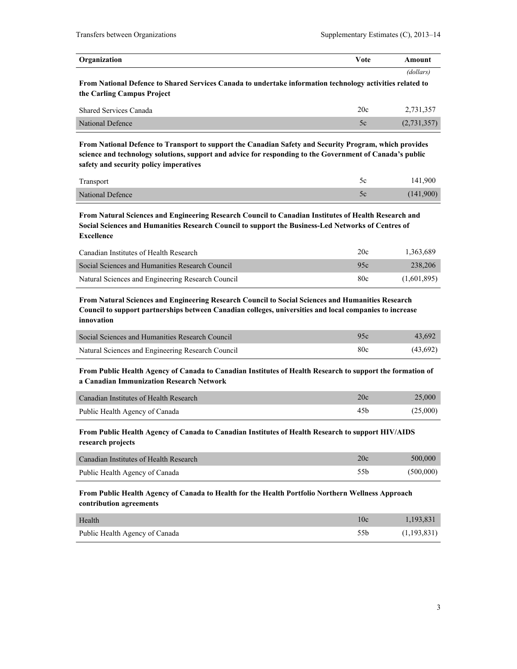| Organization                                                                                              | Vote | Amount    |
|-----------------------------------------------------------------------------------------------------------|------|-----------|
|                                                                                                           |      | (dollars) |
| From National Defence to Shared Services Canada to undertake information technology activities related to |      |           |
| the Carling Campus Project                                                                                |      |           |

| <b>Shared Services Canada</b> | 20c | 2.731.357   |
|-------------------------------|-----|-------------|
| National Defence              |     | (2,731,357) |

**From National Defence to Transport to support the Canadian Safety and Security Program, which provides science and technology solutions, support and advice for responding to the Government of Canada's public safety and security policy imperatives**

| Transport        | 141,900   |
|------------------|-----------|
| National Defence | (141,900) |

**From Natural Sciences and Engineering Research Council to Canadian Institutes of Health Research and Social Sciences and Humanities Research Council to support the Business-Led Networks of Centres of Excellence**

| Canadian Institutes of Health Research            | 20c | 1.363.689   |
|---------------------------------------------------|-----|-------------|
| Social Sciences and Humanities Research Council   | 95c | 238,206     |
| Natural Sciences and Engineering Research Council | 80c | (1,601,895) |

**From Natural Sciences and Engineering Research Council to Social Sciences and Humanities Research Council to support partnerships between Canadian colleges, universities and local companies to increase innovation**

| Social Sciences and Humanities Research Council   | 95c | 43.692   |
|---------------------------------------------------|-----|----------|
| Natural Sciences and Engineering Research Council | 80c | (43,692) |

**From Public Health Agency of Canada to Canadian Institutes of Health Research to support the formation of a Canadian Immunization Research Network**

| Canadian Institutes of Health Research | 20c | 25,000   |
|----------------------------------------|-----|----------|
| Public Health Agency of Canada         | 45b | (25,000) |

**From Public Health Agency of Canada to Canadian Institutes of Health Research to support HIV/AIDS research projects**

| Canadian Institutes of Health Research | 20c  | 500,000   |
|----------------------------------------|------|-----------|
| Public Health Agency of Canada         | .55b | (500,000) |

**From Public Health Agency of Canada to Health for the Health Portfolio Northern Wellness Approach contribution agreements**

| Health                         | 10c | 1,193,831   |
|--------------------------------|-----|-------------|
| Public Health Agency of Canada | 55b | (1,193,831) |